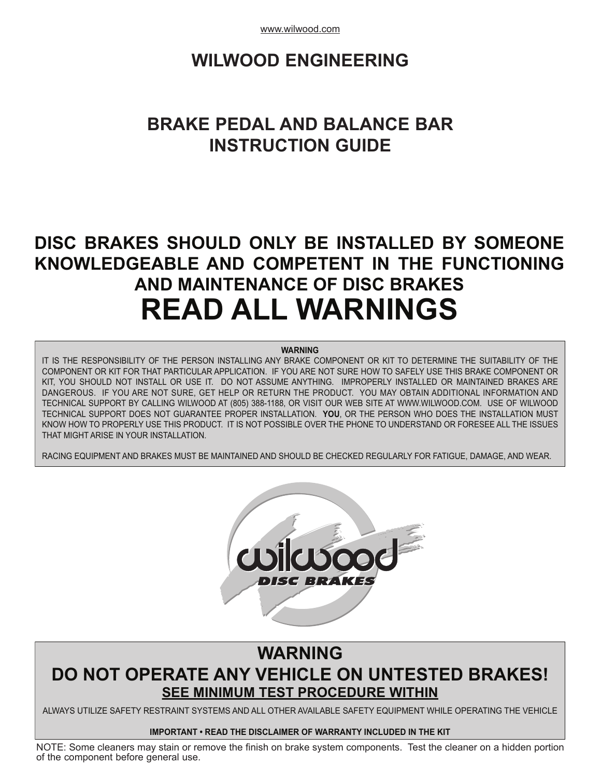www.wilwood.com

# **WILWOOD [ENGINEERING](www.wilwood.com)**

# **BRAKE PEDAL AND BALANCE BAR INSTRUCTION GUIDE**

# **DISC BRAKES SHOULD ONLY BE INSTALLED BY SOMEONE KNOWLEDGEABLE AND COMPETENT IN THE FUNCTIONING AND MAINTENANCE OF DISC BRAKES READ ALL WARNINGS**

#### **WARNING**

IT IS THE RESPONSIBILITY OF THE PERSON INSTALLING ANY BRAKE COMPONENT OR KIT TO DETERMINE THE SUITABILITY OF THE COMPONENT OR KIT FOR THAT PARTICULAR APPLICATION. IF YOU ARE NOT SURE HOW TO SAFELY USE THIS BRAKE COMPONENT OR KIT, YOU SHOULD NOT INSTALL OR USE IT. DO NOT ASSUME ANYTHING. IMPROPERLY INSTALLED OR MAINTAINED BRAKES ARE DANGEROUS. IF YOU ARE NOT SURE, GET HELP OR RETURN THE PRODUCT. YOU MAY OBTAIN ADDITIONAL INFORMATION AND TECHNICAL SUPPORT BY CALLING WILWOOD AT (805) 388-1188, OR VISIT OUR WEB SITE AT WWW.WILWOOD.COM. USE OF WILWOOD TECHNICAL SUPPORT DOES NOT GUARANTEE PROPER INSTALLATION. **YOU**, OR THE PERSON WHO DOES THE INSTALLATION MUST KNOW HOW TO PROPERLY USE THIS PRODUCT. IT IS NOT POSSIBLE OVER THE PHONE TO UNDERSTAND OR FORESEE ALL THE ISSUES THAT MIGHT ARISE IN YOUR INSTALLATION.

RACING EQUIPMENT AND BRAKES MUST BE MAINTAINED AND SHOULD BE CHECKED REGULARLY FOR FATIGUE, DAMAGE, AND WEAR.



## **WARNING DO NOT OPERATE ANY VEHICLE ON UNTESTED BRAKES! SEE MINIMUM TEST PROCEDURE WITHIN**

ALWAYS UTILIZE SAFETY RESTRAINT SYSTEMS AND ALL OTHER AVAILABLE SAFETY EQUIPMENT WHILE OPERATING THE VEHICLE

#### **IMPORTANT • READ THE DISCLAIMER OF WARRANTY INCLUDED IN THE KIT**

NOTE: Some cleaners may stain or remove the finish on brake system components. Test the cleaner on a hidden portion of the component before general use.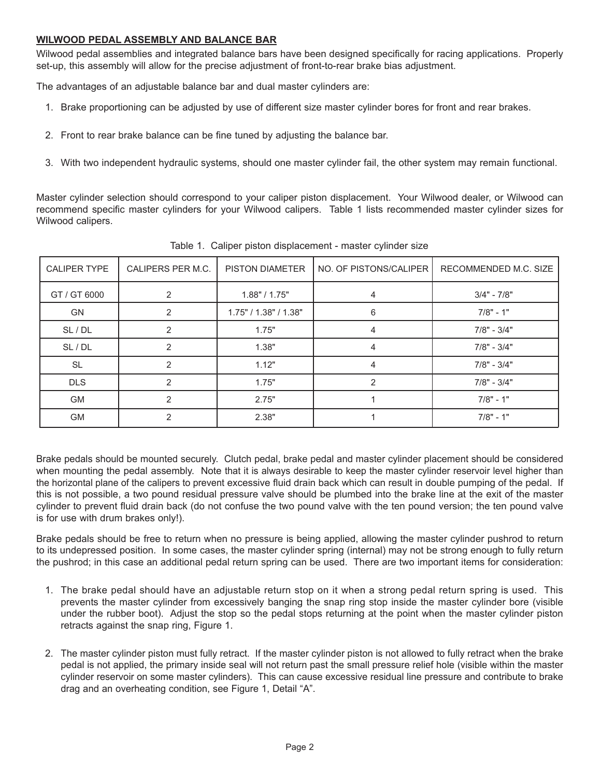#### **WILWOOD PEDAL ASSEMBLY AND BALANCE BAR**

Wilwood pedal assemblies and integrated balance bars have been designed specifically for racing applications. Properly set-up, this assembly will allow for the precise adjustment of front-to-rear brake bias adjustment.

The advantages of an adjustable balance bar and dual master cylinders are:

- 1. Brake proportioning can be adjusted by use of different size master cylinder bores for front and rear brakes.
- 2. Front to rear brake balance can be fine tuned by adjusting the balance bar.
- 3. With two independent hydraulic systems, should one master cylinder fail, the other system may remain functional.

Master cylinder selection should correspond to your caliper piston displacement. Your Wilwood dealer, or Wilwood can recommend specific master cylinders for your Wilwood calipers. Table 1 lists recommended master cylinder sizes for Wilwood calipers.

| <b>CALIPER TYPE</b> | CALIPERS PER M.C. | <b>PISTON DIAMETER</b> | NO. OF PISTONS/CALIPER | RECOMMENDED M.C. SIZE |
|---------------------|-------------------|------------------------|------------------------|-----------------------|
| GT / GT 6000        | 2                 | 1.88" / 1.75"          | 4                      | $3/4" - 7/8"$         |
| <b>GN</b>           | 2                 | 1.75" / 1.38" / 1.38"  | 6                      | $7/8" - 1"$           |
| SL / DL             | $\overline{2}$    | 1.75"                  | 4                      | $7/8" - 3/4"$         |
| SL / DL             | 2                 | 1.38"                  | 4                      | $7/8" - 3/4"$         |
| <b>SL</b>           | $\mathcal{P}$     | 1.12"                  | 4                      | $7/8" - 3/4"$         |
| <b>DLS</b>          | 2                 | 1.75"                  | 2                      | $7/8" - 3/4"$         |
| <b>GM</b>           | $\mathfrak{p}$    | 2.75"                  |                        | $7/8" - 1"$           |
| <b>GM</b>           | $\mathfrak{p}$    | 2.38"                  |                        | $7/8" - 1"$           |

Table 1. Caliper piston displacement - master cylinder size

Brake pedals should be mounted securely. Clutch pedal, brake pedal and master cylinder placement should be considered when mounting the pedal assembly. Note that it is always desirable to keep the master cylinder reservoir level higher than the horizontal plane of the calipers to prevent excessive fluid drain back which can result in double pumping of the pedal. If this is not possible, a two pound residual pressure valve should be plumbed into the brake line at the exit of the master cylinder to prevent fluid drain back (do not confuse the two pound valve with the ten pound version; the ten pound valve is for use with drum brakes only!).

Brake pedals should be free to return when no pressure is being applied, allowing the master cylinder pushrod to return to its undepressed position. In some cases, the master cylinder spring (internal) may not be strong enough to fully return the pushrod; in this case an additional pedal return spring can be used. There are two important items for consideration:

- 1. The brake pedal should have an adjustable return stop on it when a strong pedal return spring is used. This prevents the master cylinder from excessively banging the snap ring stop inside the master cylinder bore (visible under the rubber boot). Adjust the stop so the pedal stops returning at the point when the master cylinder piston retracts against the snap ring, Figure 1.
- 2. The master cylinder piston must fully retract. If the master cylinder piston is not allowed to fully retract when the brake pedal is not applied, the primary inside seal will not return past the small pressure relief hole (visible within the master cylinder reservoir on some master cylinders). This can cause excessive residual line pressure and contribute to brake drag and an overheating condition, see Figure 1, Detail "A".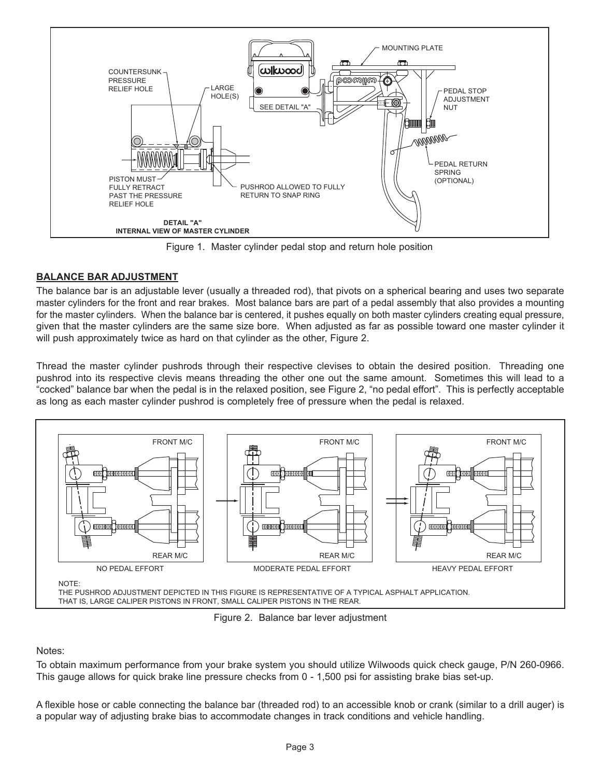

Figure 1. Master cylinder pedal stop and return hole position

## **BALANCE BAR ADJUSTMENT**

The balance bar is an adjustable lever (usually a threaded rod), that pivots on a spherical bearing and uses two separate master cylinders for the front and rear brakes. Most balance bars are part of a pedal assembly that also provides a mounting for the master cylinders. When the balance bar is centered, it pushes equally on both master cylinders creating equal pressure, given that the master cylinders are the same size bore. When adjusted as far as possible toward one master cylinder it will push approximately twice as hard on that cylinder as the other, Figure 2.

Thread the master cylinder pushrods through their respective clevises to obtain the desired position. Threading one pushrod into its respective clevis means threading the other one out the same amount. Sometimes this will lead to a "cocked" balance bar when the pedal is in the relaxed position, see Figure 2, "no pedal effort". This is perfectly acceptable as long as each master cylinder pushrod is completely free of pressure when the pedal is relaxed.



Figure 2. Balance bar lever adjustment

## Notes:

To obtain maximum performance from your brake system you should utilize Wilwoods quick check gauge, P/N 260-0966. This gauge allows for quick brake line pressure checks from 0 - 1,500 psi for assisting brake bias set-up.

A flexible hose or cable connecting the balance bar (threaded rod) to an accessible knob or crank (similar to a drill auger) is a popular way of adjusting brake bias to accommodate changes in track conditions and vehicle handling.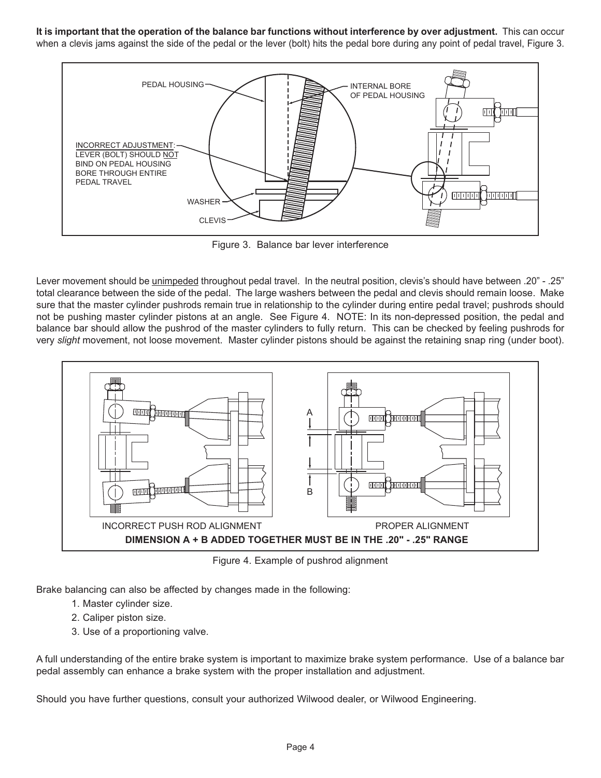It is important that the operation of the balance bar functions without interference by over adjustment. This can occur when a clevis jams against the side of the pedal or the lever (bolt) hits the pedal bore during any point of pedal travel, Figure 3.



Figure 3. Balance bar lever interference

Lever movement should be unimpeded throughout pedal travel. In the neutral position, clevis's should have between .20" - .25" total clearance between the side of the pedal. The large washers between the pedal and clevis should remain loose. Make sure that the master cylinder pushrods remain true in relationship to the cylinder during entire pedal travel; pushrods should not be pushing master cylinder pistons at an angle. See Figure 4. NOTE: In its non-depressed position, the pedal and balance bar should allow the pushrod of the master cylinders to fully return. This can be checked by feeling pushrods for very *slight* movement, not loose movement. Master cylinder pistons should be against the retaining snap ring (under boot).



Figure 4. Example of pushrod alignment

Brake balancing can also be affected by changes made in the following:

- 1. Master cylinder size.
- 2. Caliper piston size.
- 3. Use of a proportioning valve.

A full understanding of the entire brake system is important to maximize brake system performance. Use of a balance bar pedal assembly can enhance a brake system with the proper installation and adjustment.

Should you have further questions, consult your authorized Wilwood dealer, or Wilwood Engineering.